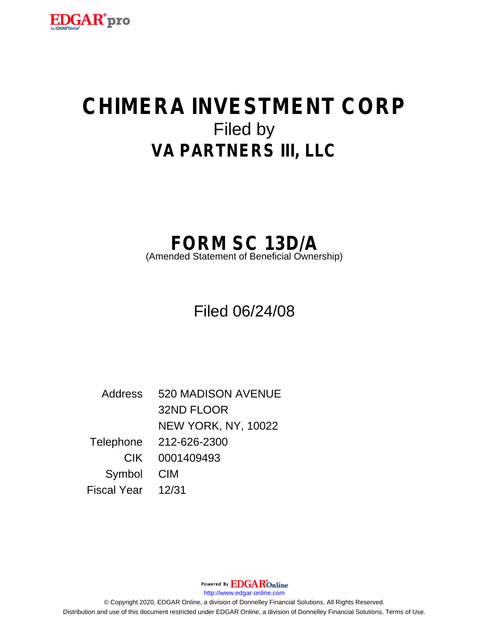

# **CHIMERA INVESTMENT CORP** Filed by **VA PARTNERS III, LLC**

## **FORM SC 13D/A**

(Amended Statement of Beneficial Ownership)

## Filed 06/24/08

Address 520 MADISON AVENUE 32ND FLOOR NEW YORK, NY, 10022 Telephone 212-626-2300 CIK 0001409493 Symbol CIM Fiscal Year 12/31

http://www.edgar-online.com © Copyright 2020, EDGAR Online, a division of Donnelley Financial Solutions. All Rights Reserved. Distribution and use of this document restricted under EDGAR Online, a division of Donnelley Financial Solutions, Terms of Use.

Powered By **EDGAR**Online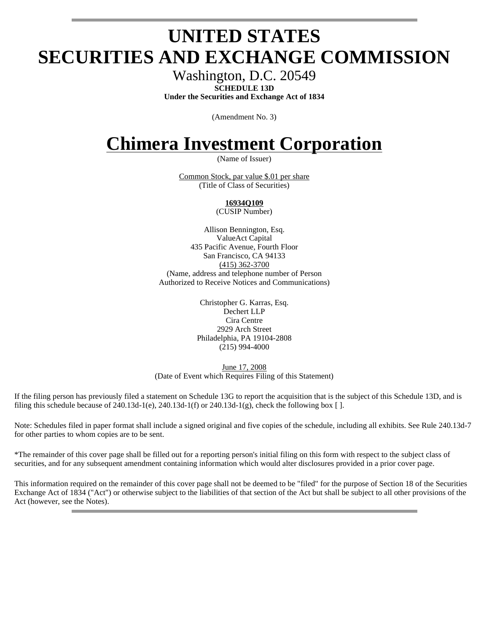## **UNITED STATES SECURITIES AND EXCHANGE COMMISSION**

Washington, D.C. 20549 **SCHEDULE 13D** 

**Under the Securities and Exchange Act of 1834** 

(Amendment No. 3)

## **Chimera Investment Corporation**

(Name of Issuer)

Common Stock, par value \$.01 per share (Title of Class of Securities)

### **16934Q109**

(CUSIP Number)

Allison Bennington, Esq. ValueAct Capital 435 Pacific Avenue, Fourth Floor San Francisco, CA 94133 (415) 362-3700 (Name, address and telephone number of Person Authorized to Receive Notices and Communications)

> Christopher G. Karras, Esq. Dechert LLP Cira Centre 2929 Arch Street Philadelphia, PA 19104-2808 (215) 994-4000

June 17, 2008 (Date of Event which Requires Filing of this Statement)

If the filing person has previously filed a statement on Schedule 13G to report the acquisition that is the subject of this Schedule 13D, and is filing this schedule because of  $240.13d-1$ (e),  $240.13d-1$ (f) or  $240.13d-1$ (g), check the following box [].

Note: Schedules filed in paper format shall include a signed original and five copies of the schedule, including all exhibits. See Rule 240.13d-7 for other parties to whom copies are to be sent.

\*The remainder of this cover page shall be filled out for a reporting person's initial filing on this form with respect to the subject class of securities, and for any subsequent amendment containing information which would alter disclosures provided in a prior cover page.

This information required on the remainder of this cover page shall not be deemed to be "filed" for the purpose of Section 18 of the Securities Exchange Act of 1834 ("Act") or otherwise subject to the liabilities of that section of the Act but shall be subject to all other provisions of the Act (however, see the Notes).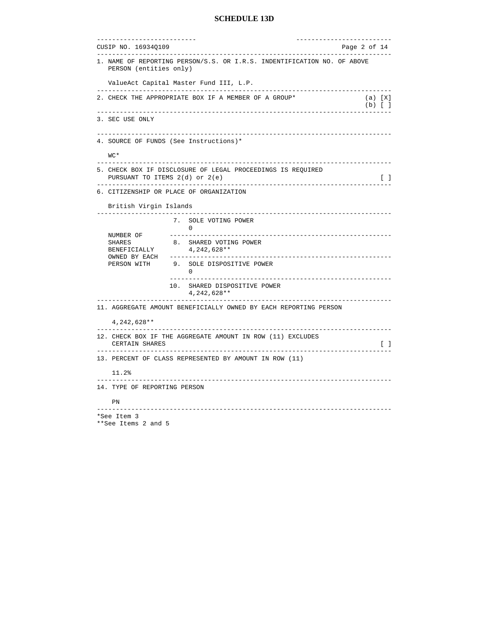```
-------------------------- -------------------------
CUSIP NO. 16934Q109 Page 2 of 14 
-----------------------------------------------------------------------------
1. NAME OF REPORTING PERSON/S.S. OR I.R.S. INDENTIFICATION NO. OF ABOVE 
   PERSON (entities only) 
   ValueAct Capital Master Fund III, L.P. 
-----------------------------------------------------------------------------
2. CHECK THE APPROPRIATE BOX IF A MEMBER OF A GROUP* (a) [X]
(b) \begin{bmatrix} 1 \end{bmatrix}-----------------------------------------------------------------------------
3. SEC USE ONLY 
-----------------------------------------------------------------------------
4. SOURCE OF FUNDS (See Instructions)* 
   WC* 
-----------------------------------------------------------------------------
5. CHECK BOX IF DISCLOSURE OF LEGAL PROCEEDINGS IS REQUIRED 
 PURSUANT TO ITEMS 2(d) or 2(e)-----------------------------------------------------------------------------
6. CITIZENSHIP OR PLACE OF ORGANIZATION 
   British Virgin Islands 
-----------------------------------------------------------------------------
                  7. SOLE VOTING POWER 
                      0 
   NUMBER OF ----------------------------------------------------------
  SHARES 8. SHARED VOTING POWER
  BENEFICIALLY 4, 242, 628 **
   OWNED BY EACH ----------------------------------------------------------
                 9. SOLE DISPOSITIVE POWER
 0 
                                      ----------------------------------------------------------
                  10. SHARED DISPOSITIVE POWER 
                       4,242,628** 
-----------------------------------------------------------------------------
11. AGGREGATE AMOUNT BENEFICIALLY OWNED BY EACH REPORTING PERSON 
    4,242,628** 
                                                      -----------------------------------------------------------------------------
12. CHECK BOX IF THE AGGREGATE AMOUNT IN ROW (11) EXCLUDES 
   CERTAIN SHARES [ ]
 -----------------------------------------------------------------------------
13. PERCENT OF CLASS REPRESENTED BY AMOUNT IN ROW (11) 
   11.2% 
          -----------------------------------------------------------------------------
14. TYPE OF REPORTING PERSON 
   PN 
               -----------------------------------------------------------------------------
*See Item 3
```

```
**See Items 2 and 5
```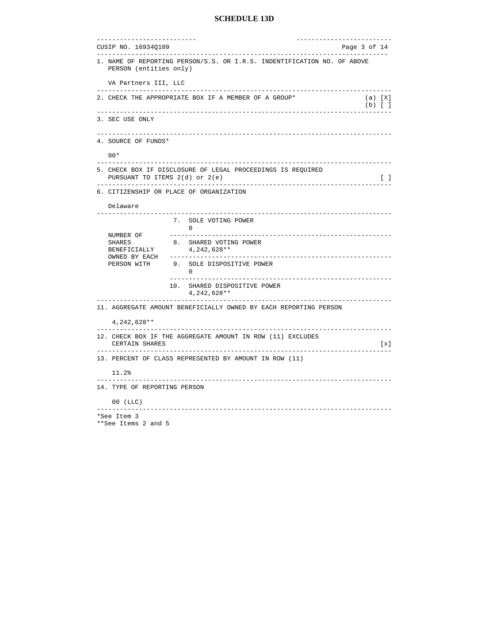| Page 3 of 14<br>1. NAME OF REPORTING PERSON/S.S. OR I.R.S. INDENTIFICATION NO. OF ABOVE<br>PERSON (entities only)<br>VA Partners III, LLC<br>2. CHECK THE APPROPRIATE BOX IF A MEMBER OF A GROUP*<br>$(a)$ $[X]$<br>$(b)$ [ ]<br>_______________________________<br>.<br>3. SEC USE ONLY<br>4. SOURCE OF FUNDS*<br>$00*$<br>5. CHECK BOX IF DISCLOSURE OF LEGAL PROCEEDINGS IS REQUIRED<br>$\begin{bmatrix} 1 \end{bmatrix}$<br>PURSUANT TO ITEMS 2(d) or 2(e)<br>_______________________________<br>6. CITIZENSHIP OR PLACE OF ORGANIZATION<br>Delaware<br>7. SOLE VOTING POWER<br>$\Omega$<br>NUMBER OF<br>8. SHARED VOTING POWER<br><b>SHARES</b><br>BENEFICIALLY<br>4, 242, 628 **<br>OWNED BY EACH<br>9. SOLE DISPOSITIVE POWER<br>PERSON WITH<br>$\Omega$<br>10. SHARED DISPOSITIVE POWER<br>$4,242,628**$<br>____________________________<br>11. AGGREGATE AMOUNT BENEFICIALLY OWNED BY EACH REPORTING PERSON<br>4,242,628**<br>12. CHECK BOX IF THE AGGREGATE AMOUNT IN ROW (11) EXCLUDES<br>CERTAIN SHARES<br>$\lbrack x \rbrack$<br>-----------------<br>13. PERCENT OF CLASS REPRESENTED BY AMOUNT IN ROW (11)<br>11.2%<br>14. TYPE OF REPORTING PERSON | _________________________ |  | ______________________ |  |  |  |  |
|--------------------------------------------------------------------------------------------------------------------------------------------------------------------------------------------------------------------------------------------------------------------------------------------------------------------------------------------------------------------------------------------------------------------------------------------------------------------------------------------------------------------------------------------------------------------------------------------------------------------------------------------------------------------------------------------------------------------------------------------------------------------------------------------------------------------------------------------------------------------------------------------------------------------------------------------------------------------------------------------------------------------------------------------------------------------------------------------------------------------------------------------------------------------|---------------------------|--|------------------------|--|--|--|--|
|                                                                                                                                                                                                                                                                                                                                                                                                                                                                                                                                                                                                                                                                                                                                                                                                                                                                                                                                                                                                                                                                                                                                                                    | CUSIP NO. 16934Q109       |  |                        |  |  |  |  |
|                                                                                                                                                                                                                                                                                                                                                                                                                                                                                                                                                                                                                                                                                                                                                                                                                                                                                                                                                                                                                                                                                                                                                                    |                           |  |                        |  |  |  |  |
|                                                                                                                                                                                                                                                                                                                                                                                                                                                                                                                                                                                                                                                                                                                                                                                                                                                                                                                                                                                                                                                                                                                                                                    |                           |  |                        |  |  |  |  |
|                                                                                                                                                                                                                                                                                                                                                                                                                                                                                                                                                                                                                                                                                                                                                                                                                                                                                                                                                                                                                                                                                                                                                                    |                           |  |                        |  |  |  |  |
|                                                                                                                                                                                                                                                                                                                                                                                                                                                                                                                                                                                                                                                                                                                                                                                                                                                                                                                                                                                                                                                                                                                                                                    |                           |  |                        |  |  |  |  |
|                                                                                                                                                                                                                                                                                                                                                                                                                                                                                                                                                                                                                                                                                                                                                                                                                                                                                                                                                                                                                                                                                                                                                                    |                           |  |                        |  |  |  |  |
|                                                                                                                                                                                                                                                                                                                                                                                                                                                                                                                                                                                                                                                                                                                                                                                                                                                                                                                                                                                                                                                                                                                                                                    |                           |  |                        |  |  |  |  |
|                                                                                                                                                                                                                                                                                                                                                                                                                                                                                                                                                                                                                                                                                                                                                                                                                                                                                                                                                                                                                                                                                                                                                                    |                           |  |                        |  |  |  |  |
|                                                                                                                                                                                                                                                                                                                                                                                                                                                                                                                                                                                                                                                                                                                                                                                                                                                                                                                                                                                                                                                                                                                                                                    |                           |  |                        |  |  |  |  |
|                                                                                                                                                                                                                                                                                                                                                                                                                                                                                                                                                                                                                                                                                                                                                                                                                                                                                                                                                                                                                                                                                                                                                                    |                           |  |                        |  |  |  |  |
|                                                                                                                                                                                                                                                                                                                                                                                                                                                                                                                                                                                                                                                                                                                                                                                                                                                                                                                                                                                                                                                                                                                                                                    |                           |  |                        |  |  |  |  |
|                                                                                                                                                                                                                                                                                                                                                                                                                                                                                                                                                                                                                                                                                                                                                                                                                                                                                                                                                                                                                                                                                                                                                                    |                           |  |                        |  |  |  |  |
|                                                                                                                                                                                                                                                                                                                                                                                                                                                                                                                                                                                                                                                                                                                                                                                                                                                                                                                                                                                                                                                                                                                                                                    |                           |  |                        |  |  |  |  |
|                                                                                                                                                                                                                                                                                                                                                                                                                                                                                                                                                                                                                                                                                                                                                                                                                                                                                                                                                                                                                                                                                                                                                                    |                           |  |                        |  |  |  |  |
|                                                                                                                                                                                                                                                                                                                                                                                                                                                                                                                                                                                                                                                                                                                                                                                                                                                                                                                                                                                                                                                                                                                                                                    |                           |  |                        |  |  |  |  |
|                                                                                                                                                                                                                                                                                                                                                                                                                                                                                                                                                                                                                                                                                                                                                                                                                                                                                                                                                                                                                                                                                                                                                                    |                           |  |                        |  |  |  |  |
|                                                                                                                                                                                                                                                                                                                                                                                                                                                                                                                                                                                                                                                                                                                                                                                                                                                                                                                                                                                                                                                                                                                                                                    |                           |  |                        |  |  |  |  |
|                                                                                                                                                                                                                                                                                                                                                                                                                                                                                                                                                                                                                                                                                                                                                                                                                                                                                                                                                                                                                                                                                                                                                                    |                           |  |                        |  |  |  |  |
|                                                                                                                                                                                                                                                                                                                                                                                                                                                                                                                                                                                                                                                                                                                                                                                                                                                                                                                                                                                                                                                                                                                                                                    |                           |  |                        |  |  |  |  |
|                                                                                                                                                                                                                                                                                                                                                                                                                                                                                                                                                                                                                                                                                                                                                                                                                                                                                                                                                                                                                                                                                                                                                                    |                           |  |                        |  |  |  |  |
|                                                                                                                                                                                                                                                                                                                                                                                                                                                                                                                                                                                                                                                                                                                                                                                                                                                                                                                                                                                                                                                                                                                                                                    | $00$ (LLC)                |  |                        |  |  |  |  |
| . _ _ _ _ _ _ _ _ _ _<br>*See Item 3                                                                                                                                                                                                                                                                                                                                                                                                                                                                                                                                                                                                                                                                                                                                                                                                                                                                                                                                                                                                                                                                                                                               |                           |  |                        |  |  |  |  |

\*\*See Items 2 and 5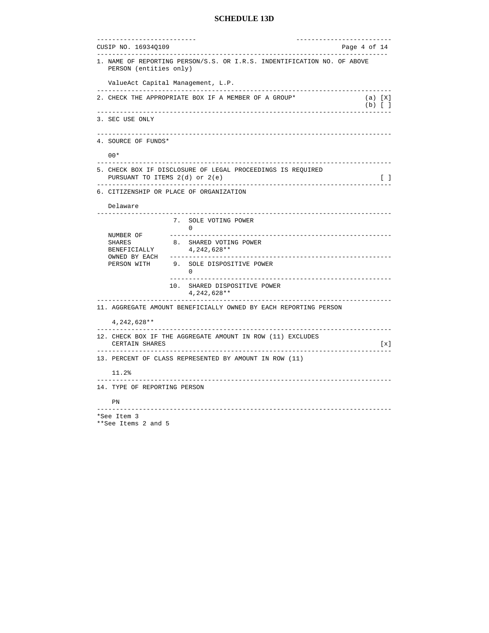```
-------------------------- -------------------------
CUSIP NO. 16934Q109 Page 4 of 14 
---------------------------------------------------------------------------- 
1. NAME OF REPORTING PERSON/S.S. OR I.R.S. INDENTIFICATION NO. OF ABOVE 
   PERSON (entities only) 
   ValueAct Capital Management, L.P. 
-----------------------------------------------------------------------------
2. CHECK THE APPROPRIATE BOX IF A MEMBER OF A GROUP* (a) [X]
(b) \begin{bmatrix} 1 \end{bmatrix}-----------------------------------------------------------------------------
3. SEC USE ONLY 
-----------------------------------------------------------------------------
4. SOURCE OF FUNDS* 
   00* 
 -----------------------------------------------------------------------------
5. CHECK BOX IF DISCLOSURE OF LEGAL PROCEEDINGS IS REQUIRED 
  PURSUANT TO ITEMS 2(d) or 2(e)-----------------------------------------------------------------------------
6. CITIZENSHIP OR PLACE OF ORGANIZATION 
   Delaware 
-----------------------------------------------------------------------------
                  7. SOLE VOTING POWER 
  NUMBER OF
                 NUMBER OF ----------------------------------------------------------
  SHARES 8. SHARED VOTING POWER
  BENEFICIALLY 4, 242, 628 **
   OWNED BY EACH ----------------------------------------------------------
                 9. SOLE DISPOSITIVE POWER
 0 
                                       ----------------------------------------------------------
                  10. SHARED DISPOSITIVE POWER 
                       4,242,628** 
-----------------------------------------------------------------------------
11. AGGREGATE AMOUNT BENEFICIALLY OWNED BY EACH REPORTING PERSON 
    4,242,628** 
                                                       -----------------------------------------------------------------------------
12. CHECK BOX IF THE AGGREGATE AMOUNT IN ROW (11) EXCLUDES 
    CERTAIN SHARES [x]
 -----------------------------------------------------------------------------
13. PERCENT OF CLASS REPRESENTED BY AMOUNT IN ROW (11) 
    11.2% 
          -----------------------------------------------------------------------------
14. TYPE OF REPORTING PERSON 
   PN 
               -----------------------------------------------------------------------------
*See Item 3
```

```
**See Items 2 and 5
```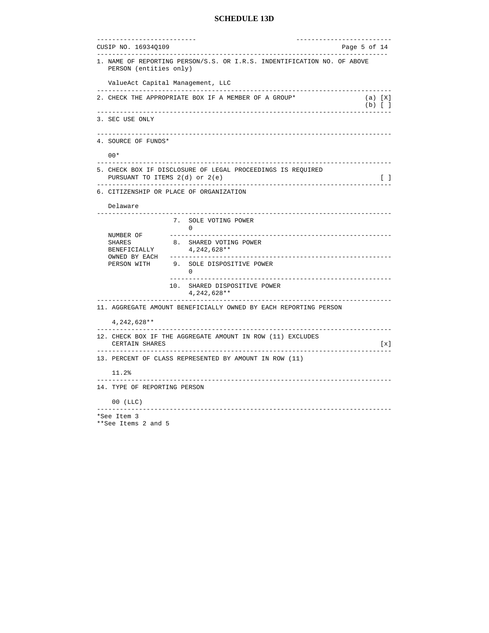| ______________________<br>CUSIP NO. 16934Q109 |                                                                                        | Page 5 of 14         |                   |
|-----------------------------------------------|----------------------------------------------------------------------------------------|----------------------|-------------------|
| PERSON (entities only)                        | 1. NAME OF REPORTING PERSON/S.S. OR I.R.S. INDENTIFICATION NO. OF ABOVE                |                      |                   |
| ValueAct Capital Management, LLC              |                                                                                        |                      |                   |
|                                               | --------------------<br>2. CHECK THE APPROPRIATE BOX IF A MEMBER OF A GROUP*           | (a) [X]<br>$(b)$ [ ] |                   |
| 3. SEC USE ONLY                               | -----------                                                                            |                      |                   |
| 4. SOURCE OF FUNDS*                           | _______________________                                                                |                      |                   |
| $00*$                                         |                                                                                        |                      |                   |
| PURSUANT TO ITEMS 2(d) or 2(e)                | -----------------------<br>5. CHECK BOX IF DISCLOSURE OF LEGAL PROCEEDINGS IS REQUIRED |                      | $\Box$            |
| 6. CITIZENSHIP OR PLACE OF ORGANIZATION       |                                                                                        |                      |                   |
| Delaware                                      | . <u>.</u> .<br>____________________________                                           |                      |                   |
|                                               | 7. SOLE VOTING POWER<br>$\Omega$                                                       |                      |                   |
| NUMBER OF<br>SHARES<br>BENEFICIALLY           | 8. SHARED VOTING POWER<br>$4,242,628**$                                                |                      |                   |
| OWNED BY EACH<br>PERSON WITH                  | 9. SOLE DISPOSITIVE POWER<br>$\Omega$                                                  |                      |                   |
|                                               | 10. SHARED DISPOSITIVE POWER<br>$4,242,628**$                                          |                      |                   |
|                                               | 11. AGGREGATE AMOUNT BENEFICIALLY OWNED BY EACH REPORTING PERSON                       |                      |                   |
| 4, 242, 628 **<br>$- - - - - - - - -$         |                                                                                        |                      |                   |
| CERTAIN SHARES<br>----------------            | 12. CHECK BOX IF THE AGGREGATE AMOUNT IN ROW (11) EXCLUDES                             |                      | $\lceil x \rceil$ |
|                                               | 13. PERCENT OF CLASS REPRESENTED BY AMOUNT IN ROW (11)                                 |                      |                   |
| 11.2%                                         |                                                                                        |                      |                   |
| 14. TYPE OF REPORTING PERSON                  |                                                                                        |                      |                   |
|                                               |                                                                                        |                      |                   |

\*\*See Items 2 and 5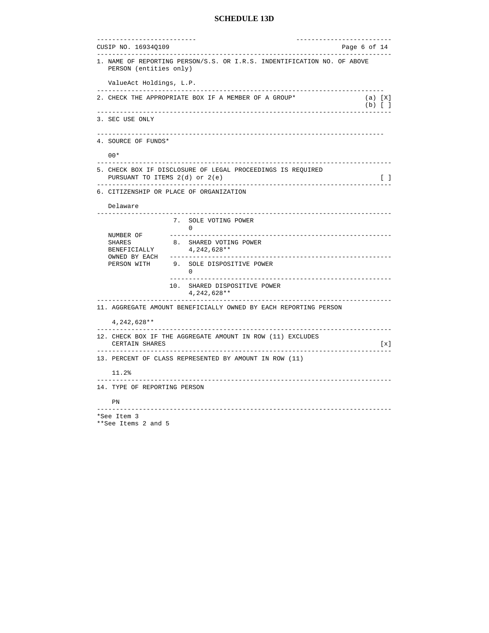| __________________________                                                                                               | -----------------------           |
|--------------------------------------------------------------------------------------------------------------------------|-----------------------------------|
| CUSIP NO. 16934Q109<br>-----------------------------                                                                     | Page 6 of 14                      |
| 1. NAME OF REPORTING PERSON/S.S. OR I.R.S. INDENTIFICATION NO. OF ABOVE<br>PERSON (entities only)                        |                                   |
| ValueAct Holdings, L.P.                                                                                                  |                                   |
| 2. CHECK THE APPROPRIATE BOX IF A MEMBER OF A GROUP*                                                                     | (a) [X]<br>$(b)$ $[$ $]$          |
| _____________________________<br>3. SEC USE ONLY                                                                         |                                   |
| 4. SOURCE OF FUNDS*                                                                                                      |                                   |
| $00*$                                                                                                                    |                                   |
| 5. CHECK BOX IF DISCLOSURE OF LEGAL PROCEEDINGS IS REQUIRED<br>PURSUANT TO ITEMS 2(d) or 2(e)                            | $\begin{bmatrix} 1 \end{bmatrix}$ |
| 6. CITIZENSHIP OR PLACE OF ORGANIZATION                                                                                  |                                   |
| Delaware                                                                                                                 |                                   |
| 7. SOLE VOTING POWER<br>0                                                                                                |                                   |
| NUMBER OF<br>8. SHARED VOTING POWER<br>SHARES<br>4, 242, 628 **<br>BENEFICIALLY                                          |                                   |
| OWNED BY EACH<br>PERSON WITH<br>9. SOLE DISPOSITIVE POWER<br>$\overline{0}$                                              |                                   |
| 10. SHARED DISPOSITIVE POWER<br>4, 242, 628 **                                                                           |                                   |
| 11. AGGREGATE AMOUNT BENEFICIALLY OWNED BY EACH REPORTING PERSON                                                         |                                   |
| 4, 242, 628 **                                                                                                           |                                   |
| .<br>___________________________________<br>12. CHECK BOX IF THE AGGREGATE AMOUNT IN ROW (11) EXCLUDES<br>CERTAIN SHARES | .<br>[x]                          |
| 13. PERCENT OF CLASS REPRESENTED BY AMOUNT IN ROW (11)                                                                   |                                   |
| 11.2%                                                                                                                    |                                   |
| 14. TYPE OF REPORTING PERSON                                                                                             |                                   |
| PN                                                                                                                       |                                   |
| *See Item 3                                                                                                              |                                   |

```
**See Items 2 and 5
```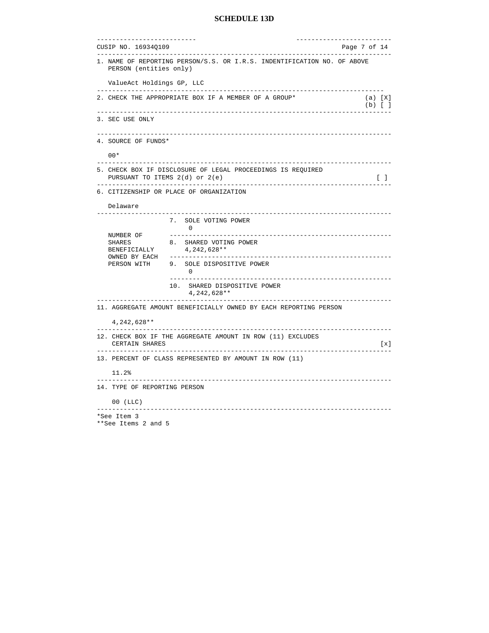| ______________________<br>CUSIP NO. 16934Q109     |                                                                                                                          | ____________________<br>Page 7 of 14 |
|---------------------------------------------------|--------------------------------------------------------------------------------------------------------------------------|--------------------------------------|
| PERSON (entities only)                            | 1. NAME OF REPORTING PERSON/S.S. OR I.R.S. INDENTIFICATION NO. OF ABOVE                                                  |                                      |
| ValueAct Holdings GP, LLC                         |                                                                                                                          |                                      |
|                                                   | 2. CHECK THE APPROPRIATE BOX IF A MEMBER OF A GROUP*                                                                     | (a) [X]<br>$(b)$ $[$ $]$             |
| 3. SEC USE ONLY                                   | -----------                                                                                                              |                                      |
| 4. SOURCE OF FUNDS*                               | ______________________                                                                                                   |                                      |
| $00*$                                             |                                                                                                                          |                                      |
|                                                   | -----------------------<br>5. CHECK BOX IF DISCLOSURE OF LEGAL PROCEEDINGS IS REQUIRED<br>PURSUANT TO ITEMS 2(d) or 2(e) | $\begin{bmatrix} 1 \end{bmatrix}$    |
|                                                   | ---------------------------<br>6. CITIZENSHIP OR PLACE OF ORGANIZATION                                                   |                                      |
| Delaware                                          |                                                                                                                          |                                      |
|                                                   | 7. SOLE VOTING POWER<br>$\bigcirc$                                                                                       |                                      |
| NUMBER OF<br>SHARES<br>BENEFICIALLY               | 8. SHARED VOTING POWER<br>4,242,628**                                                                                    |                                      |
| OWNED BY EACH<br>PERSON WITH                      | 9. SOLE DISPOSITIVE POWER<br>$\overline{0}$                                                                              |                                      |
|                                                   | 10. SHARED DISPOSITIVE POWER<br>$4,242,628**$                                                                            |                                      |
|                                                   | 11. AGGREGATE AMOUNT BENEFICIALLY OWNED BY EACH REPORTING PERSON                                                         |                                      |
| 4, 242, 628 **                                    |                                                                                                                          |                                      |
| ----------<br>CERTAIN SHARES<br>----------------- | 12. CHECK BOX IF THE AGGREGATE AMOUNT IN ROW (11) EXCLUDES                                                               | $\lceil x \rceil$                    |
|                                                   | 13. PERCENT OF CLASS REPRESENTED BY AMOUNT IN ROW (11)                                                                   |                                      |
| 11.2%                                             |                                                                                                                          |                                      |
| 14. TYPE OF REPORTING PERSON                      |                                                                                                                          |                                      |
|                                                   |                                                                                                                          |                                      |

\*\*See Items 2 and 5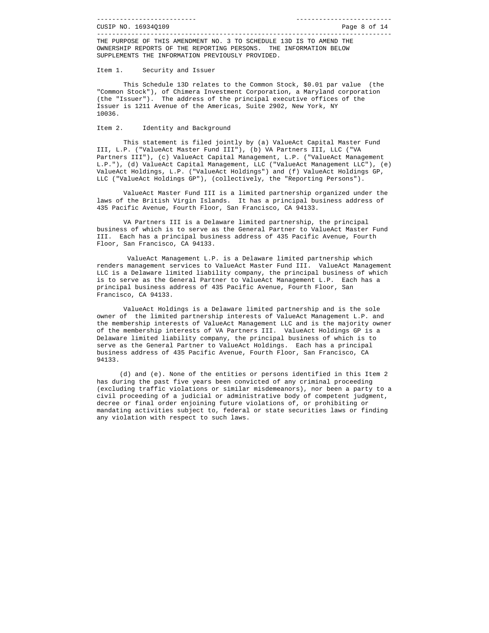THE PURPOSE OF THIS AMENDMENT NO. 3 TO SCHEDULE 13D IS TO AMEND THE OWNERSHIP REPORTS OF THE REPORTING PERSONS. THE INFORMATION BELOW SUPPLEMENTS THE INFORMATION PREVIOUSLY PROVIDED.

Item 1. Security and Issuer

 This Schedule 13D relates to the Common Stock, \$0.01 par value (the "Common Stock"), of Chimera Investment Corporation, a Maryland corporation (the "Issuer"). The address of the principal executive offices of the Issuer is 1211 Avenue of the Americas, Suite 2902, New York, NY 10036.

#### Item 2. Identity and Background

 This statement is filed jointly by (a) ValueAct Capital Master Fund III, L.P. ("ValueAct Master Fund III"), (b) VA Partners III, LLC ("VA Partners III"), (c) ValueAct Capital Management, L.P. ("ValueAct Management L.P."), (d) ValueAct Capital Management, LLC ("ValueAct Management LLC"), (e) ValueAct Holdings, L.P. ("ValueAct Holdings") and (f) ValueAct Holdings GP, LLC ("ValueAct Holdings GP"), (collectively, the "Reporting Persons").

 ValueAct Master Fund III is a limited partnership organized under the laws of the British Virgin Islands. It has a principal business address of 435 Pacific Avenue, Fourth Floor, San Francisco, CA 94133.

 VA Partners III is a Delaware limited partnership, the principal business of which is to serve as the General Partner to ValueAct Master Fund III. Each has a principal business address of 435 Pacific Avenue, Fourth Floor, San Francisco, CA 94133.

 ValueAct Management L.P. is a Delaware limited partnership which renders management services to ValueAct Master Fund III. ValueAct Management LLC is a Delaware limited liability company, the principal business of which is to serve as the General Partner to ValueAct Management L.P. Each has a principal business address of 435 Pacific Avenue, Fourth Floor, San Francisco, CA 94133.

 ValueAct Holdings is a Delaware limited partnership and is the sole owner of the limited partnership interests of ValueAct Management L.P. and the membership interests of ValueAct Management LLC and is the majority owner of the membership interests of VA Partners III. ValueAct Holdings GP is a Delaware limited liability company, the principal business of which is to serve as the General Partner to ValueAct Holdings. Each has a principal business address of 435 Pacific Avenue, Fourth Floor, San Francisco, CA 94133.

 (d) and (e). None of the entities or persons identified in this Item 2 has during the past five years been convicted of any criminal proceeding (excluding traffic violations or similar misdemeanors), nor been a party to a civil proceeding of a judicial or administrative body of competent judgment, decree or final order enjoining future violations of, or prohibiting or mandating activities subject to, federal or state securities laws or finding any violation with respect to such laws.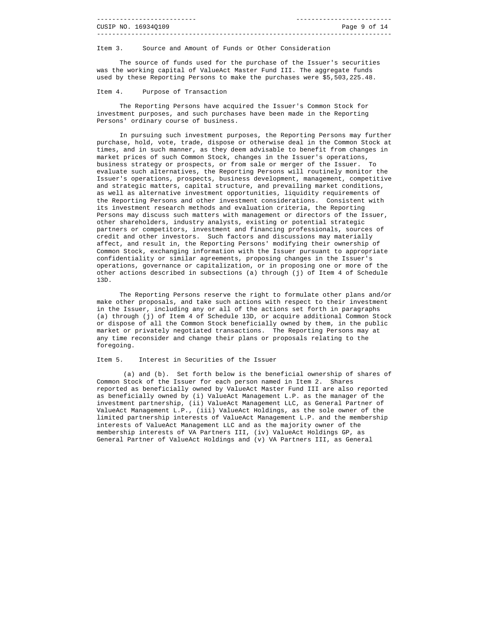| CUSIP NO. 169340109 | Page 9 of 14 |  |
|---------------------|--------------|--|
|                     |              |  |

Item 3. Source and Amount of Funds or Other Consideration

 The source of funds used for the purchase of the Issuer's securities was the working capital of ValueAct Master Fund III. The aggregate funds used by these Reporting Persons to make the purchases were \$5,503,225.48.

#### Item 4. Purpose of Transaction

 The Reporting Persons have acquired the Issuer's Common Stock for investment purposes, and such purchases have been made in the Reporting Persons' ordinary course of business.

 In pursuing such investment purposes, the Reporting Persons may further purchase, hold, vote, trade, dispose or otherwise deal in the Common Stock at times, and in such manner, as they deem advisable to benefit from changes in market prices of such Common Stock, changes in the Issuer's operations, business strategy or prospects, or from sale or merger of the Issuer. To evaluate such alternatives, the Reporting Persons will routinely monitor the Issuer's operations, prospects, business development, management, competitive and strategic matters, capital structure, and prevailing market conditions, as well as alternative investment opportunities, liquidity requirements of the Reporting Persons and other investment considerations. Consistent with its investment research methods and evaluation criteria, the Reporting Persons may discuss such matters with management or directors of the Issuer, other shareholders, industry analysts, existing or potential strategic partners or competitors, investment and financing professionals, sources of credit and other investors. Such factors and discussions may materially affect, and result in, the Reporting Persons' modifying their ownership of Common Stock, exchanging information with the Issuer pursuant to appropriate confidentiality or similar agreements, proposing changes in the Issuer's operations, governance or capitalization, or in proposing one or more of the other actions described in subsections (a) through (j) of Item 4 of Schedule 13D.

 The Reporting Persons reserve the right to formulate other plans and/or make other proposals, and take such actions with respect to their investment in the Issuer, including any or all of the actions set forth in paragraphs (a) through (j) of Item 4 of Schedule 13D, or acquire additional Common Stock or dispose of all the Common Stock beneficially owned by them, in the public market or privately negotiated transactions. The Reporting Persons may at any time reconsider and change their plans or proposals relating to the foregoing.

#### Item 5. Interest in Securities of the Issuer

 (a) and (b). Set forth below is the beneficial ownership of shares of Common Stock of the Issuer for each person named in Item 2. Shares reported as beneficially owned by ValueAct Master Fund III are also reported as beneficially owned by (i) ValueAct Management L.P. as the manager of the investment partnership, (ii) ValueAct Management LLC, as General Partner of ValueAct Management L.P., (iii) ValueAct Holdings, as the sole owner of the limited partnership interests of ValueAct Management L.P. and the membership interests of ValueAct Management LLC and as the majority owner of the membership interests of VA Partners III, (iv) ValueAct Holdings GP, as General Partner of ValueAct Holdings and (v) VA Partners III, as General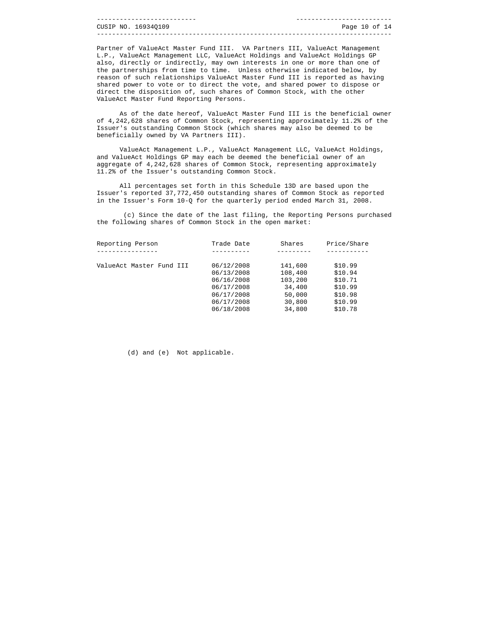|  | CUSIP NO. 169340109 | Page 10 of 14 |  |  |
|--|---------------------|---------------|--|--|
|  |                     |               |  |  |

Partner of ValueAct Master Fund III. VA Partners III, ValueAct Management L.P., ValueAct Management LLC, ValueAct Holdings and ValueAct Holdings GP also, directly or indirectly, may own interests in one or more than one of the partnerships from time to time. Unless otherwise indicated below, by reason of such relationships ValueAct Master Fund III is reported as having shared power to vote or to direct the vote, and shared power to dispose or direct the disposition of, such shares of Common Stock, with the other ValueAct Master Fund Reporting Persons.

 As of the date hereof, ValueAct Master Fund III is the beneficial owner of 4,242,628 shares of Common Stock, representing approximately 11.2% of the Issuer's outstanding Common Stock (which shares may also be deemed to be beneficially owned by VA Partners III).

 ValueAct Management L.P., ValueAct Management LLC, ValueAct Holdings, and ValueAct Holdings GP may each be deemed the beneficial owner of an aggregate of 4,242,628 shares of Common Stock, representing approximately 11.2% of the Issuer's outstanding Common Stock.

 All percentages set forth in this Schedule 13D are based upon the Issuer's reported 37,772,450 outstanding shares of Common Stock as reported in the Issuer's Form 10-Q for the quarterly period ended March 31, 2008.

 (c) Since the date of the last filing, the Reporting Persons purchased the following shares of Common Stock in the open market:

| Trade Date | Shares  | Price/Share |
|------------|---------|-------------|
|            |         |             |
| 06/12/2008 | 141,600 | \$10.99     |
| 06/13/2008 | 108,400 | \$10.94     |
| 06/16/2008 | 103,200 | \$10.71     |
| 06/17/2008 | 34,400  | \$10.99     |
| 06/17/2008 | 50,000  | \$10.98     |
| 06/17/2008 | 30,800  | \$10.99     |
| 06/18/2008 | 34,800  | \$10.78     |
|            |         |             |

(d) and (e) Not applicable.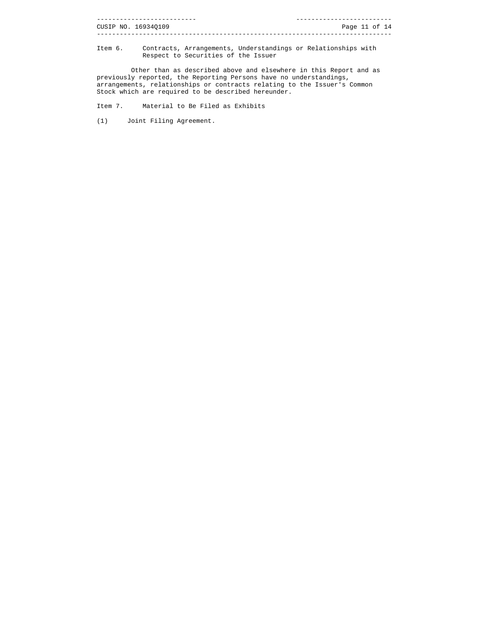|  | CUSIP NO. 16934Q109 | Page 11 of 14 |  |  |
|--|---------------------|---------------|--|--|
|  |                     |               |  |  |

Item 6. Contracts, Arrangements, Understandings or Relationships with Respect to Securities of the Issuer

 Other than as described above and elsewhere in this Report and as previously reported, the Reporting Persons have no understandings, arrangements, relationships or contracts relating to the Issuer's Common Stock which are required to be described hereunder.

Item 7. Material to Be Filed as Exhibits

(1) Joint Filing Agreement.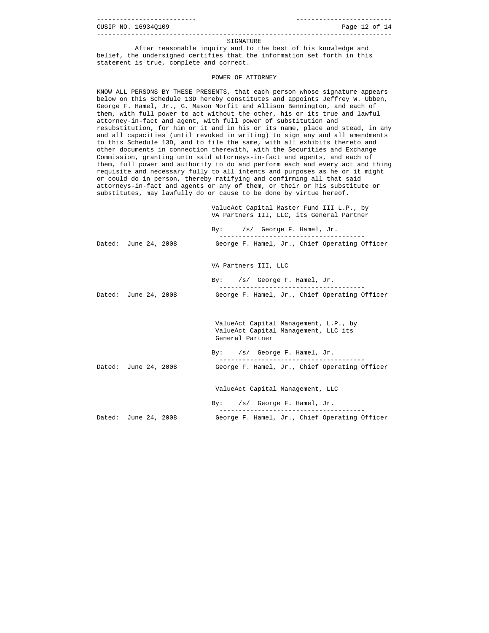| CUSIP NO. 16934Q109 | Page 12 of 14 |  |  |
|---------------------|---------------|--|--|
|                     |               |  |  |

#### SIGNATURE

 After reasonable inquiry and to the best of his knowledge and belief, the undersigned certifies that the information set forth in this statement is true, complete and correct.

#### POWER OF ATTORNEY

KNOW ALL PERSONS BY THESE PRESENTS, that each person whose signature appears below on this Schedule 13D hereby constitutes and appoints Jeffrey W. Ubben, George F. Hamel, Jr., G. Mason Morfit and Allison Bennington, and each of them, with full power to act without the other, his or its true and lawful attorney-in-fact and agent, with full power of substitution and resubstitution, for him or it and in his or its name, place and stead, in any and all capacities (until revoked in writing) to sign any and all amendments to this Schedule 13D, and to file the same, with all exhibits thereto and other documents in connection therewith, with the Securities and Exchange Commission, granting unto said attorneys-in-fact and agents, and each of them, full power and authority to do and perform each and every act and thing requisite and necessary fully to all intents and purposes as he or it might or could do in person, thereby ratifying and confirming all that said attorneys-in-fact and agents or any of them, or their or his substitute or substitutes, may lawfully do or cause to be done by virtue hereof.

> ValueAct Capital Master Fund III L.P., by VA Partners III, LLC, its General Partner

|                      | By: /s/ George F. Hamel, Jr.<br>-----------------------                                          |
|----------------------|--------------------------------------------------------------------------------------------------|
| Dated: June 24, 2008 | George F. Hamel, Jr., Chief Operating Officer                                                    |
|                      | VA Partners III, LLC                                                                             |
|                      | By: /s/ George F. Hamel, Jr.                                                                     |
| Dated: June 24, 2008 | George F. Hamel, Jr., Chief Operating Officer                                                    |
|                      | ValueAct Capital Management, L.P., by<br>ValueAct Capital Management, LLC its<br>General Partner |
|                      | By: /s/ George F. Hamel, Jr.                                                                     |
| Dated: June 24, 2008 | George F. Hamel, Jr., Chief Operating Officer                                                    |
|                      | ValueAct Capital Management, LLC                                                                 |
|                      | By: $/s/$ George F. Hamel, Jr.                                                                   |
| Dated: June 24, 2008 | George F. Hamel, Jr., Chief Operating Officer                                                    |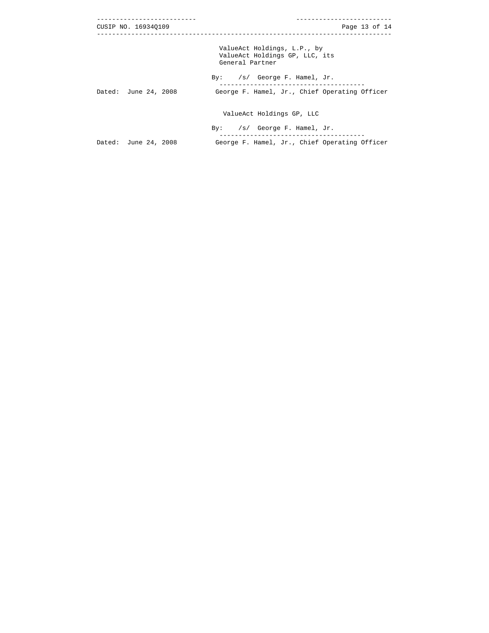| CUSIP NO. 169340109  | Page 13 of $14$                                                                  |
|----------------------|----------------------------------------------------------------------------------|
|                      | ValueAct Holdings, L.P., by<br>ValueAct Holdings GP, LLC, its<br>General Partner |
|                      | By: /s/ George F. Hamel, Jr.                                                     |
| Dated: June 24, 2008 | George F. Hamel, Jr., Chief Operating Officer                                    |
|                      | ValueAct Holdings GP, LLC                                                        |
|                      | By: $/s/$ George F. Hamel, Jr.                                                   |
| Dated: June 24, 2008 | George F. Hamel, Jr., Chief Operating Officer                                    |